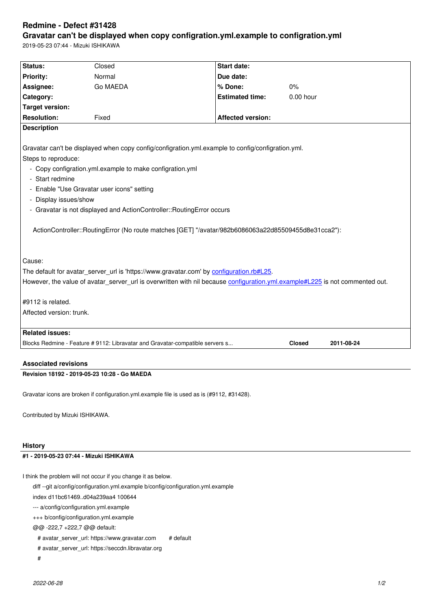#### **Gravatar can't be displayed when copy configration.yml.example to configration.yml**

2019-05-23 07:44 - Mizuki ISHIKAWA

| Status:                                                                                                                      | Closed                                                                        | <b>Start date:</b>       |               |            |
|------------------------------------------------------------------------------------------------------------------------------|-------------------------------------------------------------------------------|--------------------------|---------------|------------|
| <b>Priority:</b>                                                                                                             | Normal                                                                        | Due date:                |               |            |
| Assignee:                                                                                                                    | Go MAEDA                                                                      | % Done:                  | 0%            |            |
| Category:                                                                                                                    |                                                                               | <b>Estimated time:</b>   | $0.00$ hour   |            |
| <b>Target version:</b>                                                                                                       |                                                                               |                          |               |            |
| <b>Resolution:</b>                                                                                                           | Fixed                                                                         | <b>Affected version:</b> |               |            |
| <b>Description</b>                                                                                                           |                                                                               |                          |               |            |
|                                                                                                                              |                                                                               |                          |               |            |
| Gravatar can't be displayed when copy config/configration.yml.example to config/configration.yml.                            |                                                                               |                          |               |            |
| Steps to reproduce:                                                                                                          |                                                                               |                          |               |            |
| - Copy configration.yml.example to make configration.yml                                                                     |                                                                               |                          |               |            |
| - Start redmine                                                                                                              |                                                                               |                          |               |            |
| - Enable "Use Gravatar user icons" setting                                                                                   |                                                                               |                          |               |            |
| - Display issues/show                                                                                                        |                                                                               |                          |               |            |
| - Gravatar is not displayed and ActionController::RoutingError occurs                                                        |                                                                               |                          |               |            |
|                                                                                                                              |                                                                               |                          |               |            |
| ActionController::RoutingError (No route matches [GET] "/avatar/982b6086063a22d85509455d8e31cca2"):                          |                                                                               |                          |               |            |
|                                                                                                                              |                                                                               |                          |               |            |
|                                                                                                                              |                                                                               |                          |               |            |
| Cause:                                                                                                                       |                                                                               |                          |               |            |
| The default for avatar server url is 'https://www.gravatar.com' by configuration.rb#L25.                                     |                                                                               |                          |               |            |
| However, the value of avatar_server_url is overwritten with nil because configuration.yml.example#L225 is not commented out. |                                                                               |                          |               |            |
|                                                                                                                              |                                                                               |                          |               |            |
| #9112 is related.                                                                                                            |                                                                               |                          |               |            |
| Affected version: trunk.                                                                                                     |                                                                               |                          |               |            |
|                                                                                                                              |                                                                               |                          |               |            |
| <b>Related issues:</b>                                                                                                       |                                                                               |                          |               |            |
|                                                                                                                              | Blocks Redmine - Feature # 9112: Libravatar and Gravatar-compatible servers s |                          | <b>Closed</b> | 2011-08-24 |
|                                                                                                                              |                                                                               |                          |               |            |

## **Associated revisions**

## **Revision 18192 - 2019-05-23 10:28 - Go MAEDA**

Gravatar icons are broken if configuration.yml.example file is used as is (#9112, #31428).

Contributed by Mizuki ISHIKAWA.

#### **History**

# **#1 - 2019-05-23 07:44 - Mizuki ISHIKAWA**

I think the problem will not occur if you change it as below.

diff --git a/config/configuration.yml.example b/config/configuration.yml.example

index d11bc61469..d04a239aa4 100644

--- a/config/configuration.yml.example

+++ b/config/configuration.yml.example

@@ -222,7 +222,7 @@ default:

# avatar\_server\_url: https://www.gravatar.com # default

# avatar\_server\_url: https://seccdn.libravatar.org

#